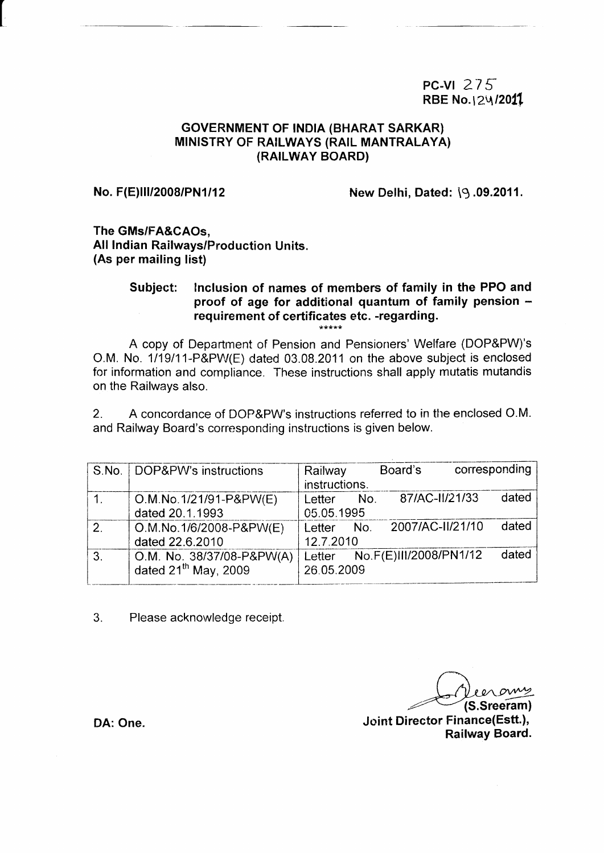## PC-VI  $275$ RBE No.124/2011

### GOVERNMENT OF INDIA (BHARAT SARKAR) **MINISTRY OF RAILWAYS (RAIL MANTRALAYA)** (RAILWAY BOARD)

No. F(E)III/2008/PN1/12 New Delhi, Dated:  $\sqrt{9}$ .09.2011.

The GMs/FA&CAOs, All lndian Railways/Production Units. (As per mailing list)

## Subject: Inclusion of names of members of family in the PPO and proof of age for additional quantum of family pension  $$ requirement of certificates etc. -regarding.

A copy of Department of Pension and Pensioners' Welfare (DOP&PW)'s O.M. No. 1/19/11-P&PW(E) dated 03.08.2011 on the above subject is enclosed for information and compliance. These instructions shall apply mutatis mutandis on the Railways also.

2. A concordance of DOP&PW's instructions referred to in the enclosed O.M. and Railway Board's corresponding instructions is given below.

|              | S.No.   DOP&PW's instructions | Railway       | Board's                       | corresponding |
|--------------|-------------------------------|---------------|-------------------------------|---------------|
|              |                               | instructions. |                               |               |
|              | O.M.No.1/21/91-P&PW(E)        | No.<br>Letter | 87/AC-II/21/33                | dated         |
|              | dated 20.1.1993               | 05.05.1995    |                               |               |
| 2.           | O.M.No.1/6/2008-P&PW(E)       | Letter No.    | 2007/AC-II/21/10              | dated         |
|              | dated 22.6.2010               | 12.7.2010     |                               |               |
| $\mathbf{3}$ | O.M. No. 38/37/08-P&PW(A)     |               | Letter No.F(E)III/2008/PN1/12 | dated         |
|              | dated $21^{th}$ May, 2009     | 26.05.2009    |                               |               |
|              |                               |               |                               |               |

3. Please acknowledge receipt

(S.Sreeram) Joint Director Finance(Estt.), Railway Board.

DA: One.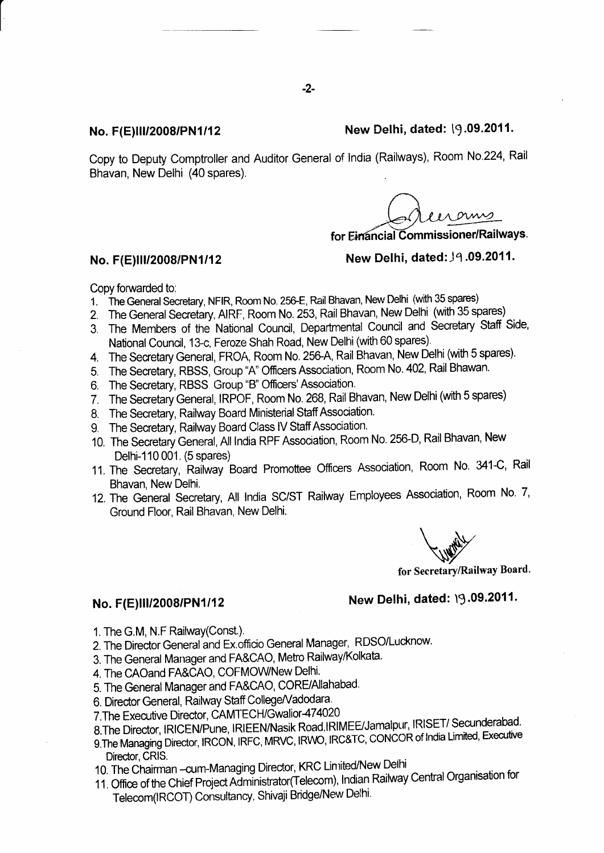### No. F(E)III/2008/PN1/12 New Delhi, dated: 19.09.2011.

Copy to Deputy Comptroller and Auditor General of India (Railways), Room No.224, Rail Bhavan, New Delhi (40 spares).

s ornis

for Einancial Commissioner/Railways.

## No. F(E)III/2008/PN1/12 New Delhi, dated:,19.09.2011.

Copy forwarded to:

- 1. The General Secretary, NFIR, Room No. 256-E, Rail Bhavan, New Delhi (with 35 spares)
- 2. The General Secretary, AIRF, Room No. 253, Rail Bhavan, New Delhi (with 35 spares)
- 3. The Members of the National Council, Departmental Council and Secretary Staff Side, National Council, 13-c, Feroze Shah Road, New Delhi (with 60 spares).
- 4. The Secretary General, FROA, Room No. 25GA, Rail Bhavan, New Delhi (with 5 spares).
- 5. The Secretary, RBSS, Group "A' Offcers Association, Room No. 402, Rail Bhawan.
- 6. The Secretary, RBSS Group "B" Officers' Association.
- 7. The Secretary General, IRPOF, Room No. 268, Rail Bhavan, New Delhi (with 5 spares)
- 8. The Secretary, Railway Board Ministerial Staff Association.
- 9. The Secretary, Railway Board Class IV Staff Association.
- 10. The Secretary General, All India RPF Assocration, Room No. 256-D, Rail Bhavan, New Delhi-110 001. (5 spares)
- 11. The Secretary, Railway Board Promottee Officers Association, Room No. 341-C, Rail Bhavan, New Delhi.
- 12. The General Secretary, All India SC/ST Railway Employees Association, Room No. 7, Ground Floor, Rail Bhavan, New Delhi.

for Secretary/Railway Board.

# No. F(E)III/2008/PN1/12 New Delhi, dated:  $\sqrt{9.09.2011}$ .

- 1. The G.M, N.F Railway(Const.).
- 2. The Director General and Ex.officio General Manager, RDSO/Lucknow.
- 3. The General Manager and FA&CAO, Metro Railway/Kolkata.
- 4. The CAOand FA&CAO, COFMOWNew Delhi.
- 5. The General Manager and FA&CAO, CORE/Allahabad.
- 6. Director General, Railway Staff College/Vadodara.
- 7. The Executive Director, CAMTECH/Gwalior-474020
- 8.The Director, IRICEN/Pune, IRIEEN/Nasik Road, IRIMEE/Jamalpur, IRISET/Secunderabad.
- 9. The Managing Director, IRCON, IRFC, MRVC, IRWO, IRC&TC, CONCOR of India Limited, Executive
- Director, CRIS. 10. The Chairman -- cum-Managing Director, KRC Linrited/New Delhi
- 11. Office of the Chief Project Administrator(Telecom), Indian Railway Central Organisation for Telecom(IRCOT) Consultancy, Shivaji Bridge/New Delhi.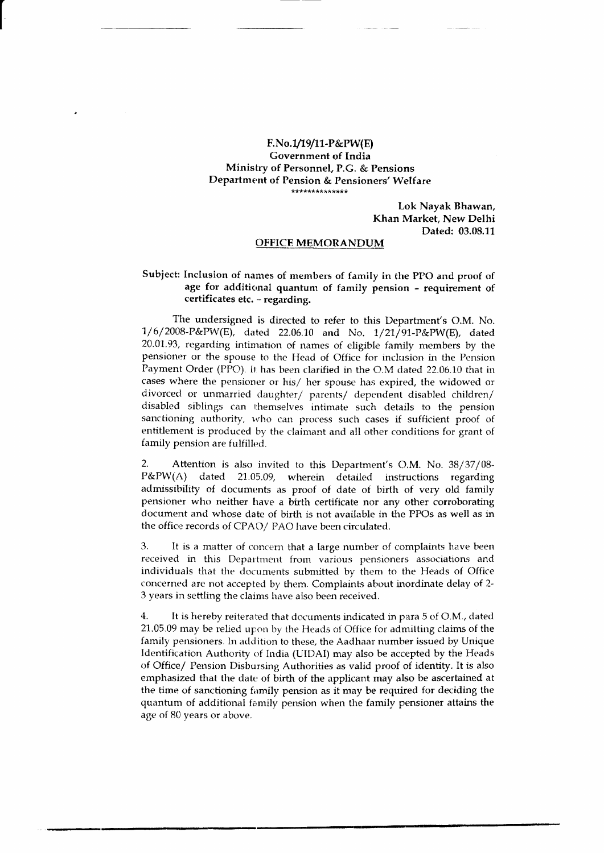#### F.No.1/19/11-P&PW(E) **Government of India** Ministry of Personnel, P.G. & Pensions Department of Pension & Pensioners' Welfare \*\*\*\*\*\*\*\*\*\*\*\*\*\*

Lok Nayak Bhawan, Khan Market. New Delhi Dated: 03.08.11

#### **OFFICE MEMORANDUM**

#### Subject: Inclusion of names of members of family in the PPO and proof of age for additional quantum of family pension - requirement of certificates etc. - regarding.

The undersigned is directed to refer to this Department's O.M. No. 1/6/2008-P&PW(E), dated 22.06.10 and No. 1/21/91-P&PW(E), dated 20.01.93, regarding intimation of names of eligible family members by the pensioner or the spouse to the Head of Office for inclusion in the Pension Payment Order (PPO). It has been clarified in the O.M dated 22.06.10 that in cases where the pensioner or his/ her spouse has expired, the widowed or divorced or unmarried daughter/ parents/ dependent disabled children/ disabled siblings can themselves intimate such details to the pension sanctioning authority, who can process such cases if sufficient proof of entitlement is produced by the claimant and all other conditions for grant of family pension are fulfilled.

 $2.$ Attention is also invited to this Department's O.M. No. 38/37/08-P&PW(A) dated 21.05.09, wherein detailed instructions regarding admissibility of documents as proof of date of birth of very old family pensioner who neither have a birth certificate nor any other corroborating document and whose date of birth is not available in the PPOs as well as in the office records of CPAO/ PAO have been circulated.

3. It is a matter of concern that a large number of complaints have been received in this Department from various pensioners associations and individuals that the documents submitted by them to the Heads of Office concerned are not accepted by them. Complaints about inordinate delay of 2-3 years in settling the claims have also been received.

 $4.$ It is hereby reiterated that documents indicated in para 5 of O.M., dated 21.05.09 may be relied upon by the Heads of Office for admitting claims of the family pensioners. In addition to these, the Aadhaar number issued by Unique Identification Authority of India (UIDAI) may also be accepted by the Heads of Office/ Pension Disbursing Authorities as valid proof of identity. It is also emphasized that the date of birth of the applicant may also be ascertained at the time of sanctioning family pension as it may be required for deciding the quantum of additional family pension when the family pensioner attains the age of 80 years or above.